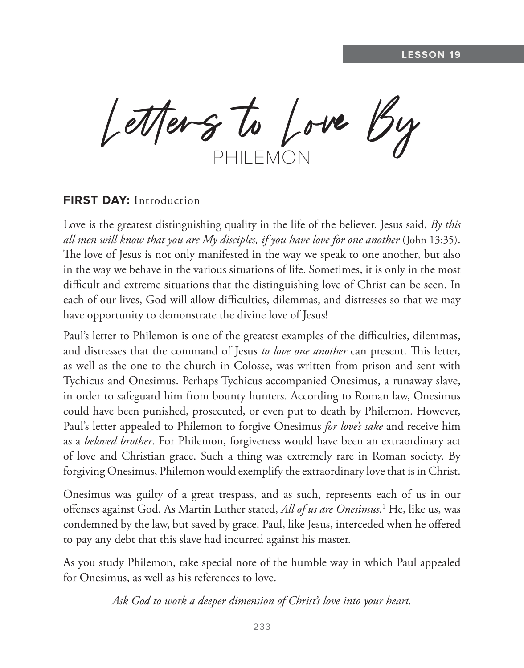Letters to Love By PHILEMON

#### **FIRST DAY:** Introduction

Love is the greatest distinguishing quality in the life of the believer. Jesus said, *By this all men will know that you are My disciples, if you have love for one another* (John 13:35). The love of Jesus is not only manifested in the way we speak to one another, but also in the way we behave in the various situations of life. Sometimes, it is only in the most difficult and extreme situations that the distinguishing love of Christ can be seen. In each of our lives, God will allow difficulties, dilemmas, and distresses so that we may have opportunity to demonstrate the divine love of Jesus!

Paul's letter to Philemon is one of the greatest examples of the difficulties, dilemmas, and distresses that the command of Jesus *to love one another* can present. This letter, as well as the one to the church in Colosse, was written from prison and sent with Tychicus and Onesimus. Perhaps Tychicus accompanied Onesimus, a runaway slave, in order to safeguard him from bounty hunters. According to Roman law, Onesimus could have been punished, prosecuted, or even put to death by Philemon. However, Paul's letter appealed to Philemon to forgive Onesimus *for love's sake* and receive him as a *beloved brother*. For Philemon, forgiveness would have been an extraordinary act of love and Christian grace. Such a thing was extremely rare in Roman society. By forgiving Onesimus, Philemon would exemplify the extraordinary love that is in Christ.

Onesimus was guilty of a great trespass, and as such, represents each of us in our offenses against God. As Martin Luther stated, *All of us are Onesimus*. 1 He, like us, was condemned by the law, but saved by grace. Paul, like Jesus, interceded when he offered to pay any debt that this slave had incurred against his master.

As you study Philemon, take special note of the humble way in which Paul appealed for Onesimus, as well as his references to love.

*Ask God to work a deeper dimension of Christ's love into your heart.*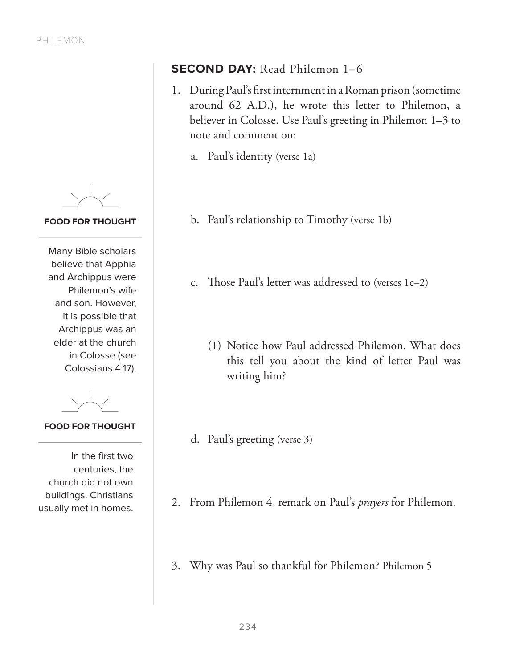**FOOD FOR THOUGHT**

Many Bible scholars believe that Apphia and Archippus were Philemon's wife and son. However, it is possible that Archippus was an elder at the church in Colosse (see Colossians 4:17).

**FOOD FOR THOUGHT**

In the first two centuries, the church did not own buildings. Christians usually met in homes.

# **SECOND DAY:** Read Philemon 1-6

- 1. During Paul's first internment in a Roman prison (sometime around 62 A.D.), he wrote this letter to Philemon, a believer in Colosse. Use Paul's greeting in Philemon 1–3 to note and comment on:
	- a. Paul's identity (verse 1a)
	- b. Paul's relationship to Timothy (verse 1b)
	- c. Those Paul's letter was addressed to (verses 1c–2)
		- (1) Notice how Paul addressed Philemon. What does this tell you about the kind of letter Paul was writing him?
	- d. Paul's greeting (verse 3)
- 2. From Philemon 4, remark on Paul's *prayers* for Philemon.
- 3. Why was Paul so thankful for Philemon? Philemon 5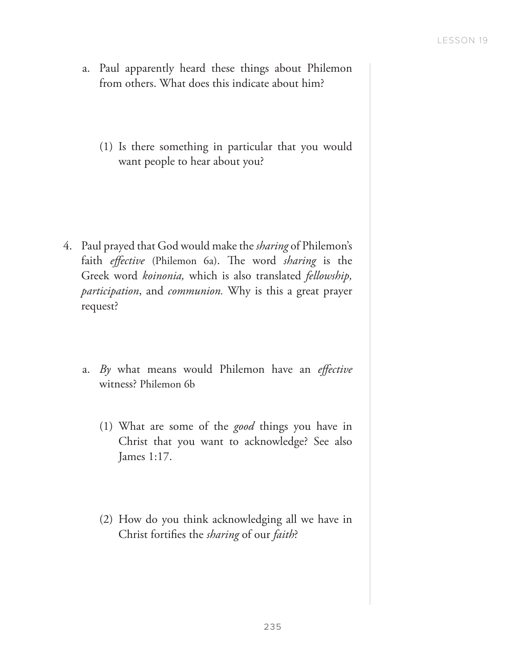- a. Paul apparently heard these things about Philemon from others. What does this indicate about him?
	- (1) Is there something in particular that you would want people to hear about you?

- 4. Paul prayed that God would make the *sharing* of Philemon's faith *effective* (Philemon 6a). The word *sharing* is the Greek word *koinonia,* which is also translated *fellowship, participation*, and *communion.* Why is this a great prayer request?
	- a. *By* what means would Philemon have an *effective* witness? Philemon 6b
		- (1) What are some of the *good* things you have in Christ that you want to acknowledge? See also James 1:17.
		- (2) How do you think acknowledging all we have in Christ fortifies the *sharing* of our *faith*?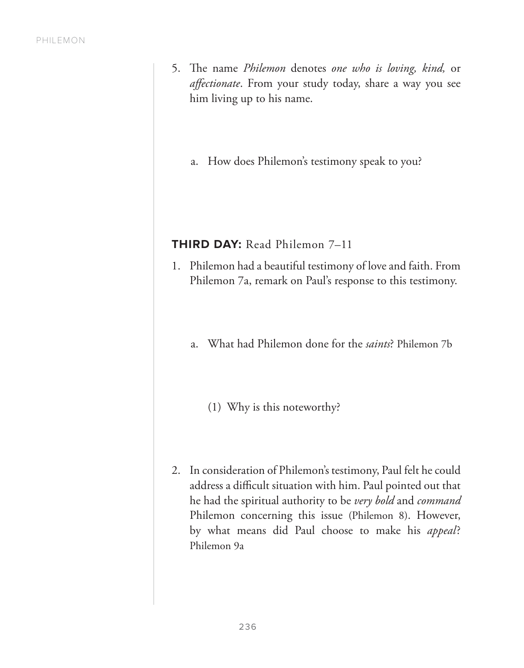- 5. The name *Philemon* denotes *one who is loving, kind,* or *affectionate*. From your study today, share a way you see him living up to his name.
	- a. How does Philemon's testimony speak to you?

#### **THIRD DAY:** Read Philemon 7–11

- 1. Philemon had a beautiful testimony of love and faith. From Philemon 7a, remark on Paul's response to this testimony.
	- a. What had Philemon done for the *saints*? Philemon 7b
		- (1) Why is this noteworthy?
- 2. In consideration of Philemon's testimony, Paul felt he could address a difficult situation with him. Paul pointed out that he had the spiritual authority to be *very bold* and *command* Philemon concerning this issue (Philemon 8). However, by what means did Paul choose to make his appeal? Philemon 9a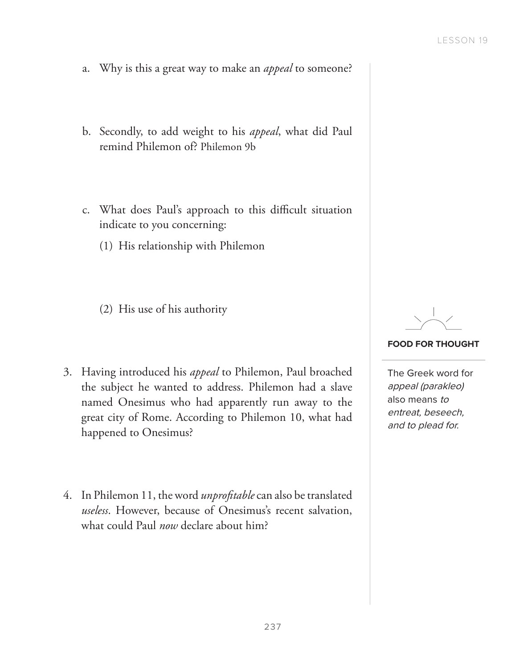- a. Why is this a great way to make an *appeal* to someone?
- b. Secondly, to add weight to his *appeal*, what did Paul remind Philemon of? Philemon 9b
- c. What does Paul's approach to this difficult situation indicate to you concerning:
	- (1) His relationship with Philemon
	- (2) His use of his authority
- 3. Having introduced his *appeal* to Philemon, Paul broached the subject he wanted to address. Philemon had a slave named Onesimus who had apparently run away to the great city of Rome. According to Philemon 10, what had happened to Onesimus?
- 4. In Philemon 11, the word *unprofitable* can also be translated *useless*. However, because of Onesimus's recent salvation, what could Paul *now* declare about him?

#### **FOOD FOR THOUGHT**

The Greek word for appeal (parakleo) also means to entreat, beseech, and to plead for.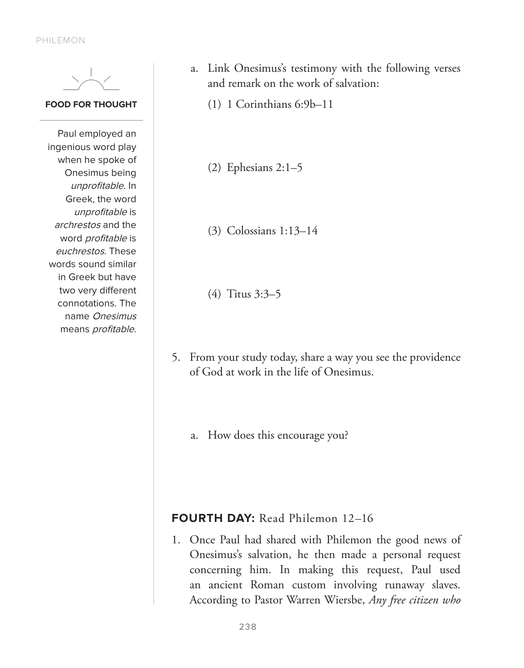PHILEMON



#### **FOOD FOR THOUGHT**

Paul employed an ingenious word play when he spoke of Onesimus being unprofitable. In Greek, the word unprofitable is archrestos and the word profitable is euchrestos. These words sound similar in Greek but have two very different connotations. The name Onesimus means profitable.

- a. Link Onesimus's testimony with the following verses and remark on the work of salvation:
	- (1) 1 Corinthians 6:9b–11
	- (2) Ephesians 2:1–5
	- (3) Colossians 1:13–14
	- (4) Titus 3:3–5
- 5. From your study today, share a way you see the providence of God at work in the life of Onesimus.
	- a. How does this encourage you?

## **FOURTH DAY:** Read Philemon 12–16

1. Once Paul had shared with Philemon the good news of Onesimus's salvation, he then made a personal request concerning him. In making this request, Paul used an ancient Roman custom involving runaway slaves. According to Pastor Warren Wiersbe, *Any free citizen who*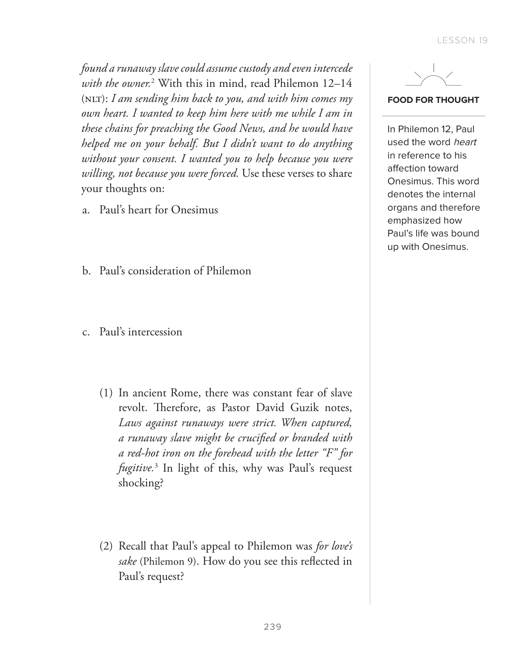*found a runaway slave could assume custody and even intercede with the owner.*<sup>2</sup> With this in mind, read Philemon 12–14 (NLT): I am sending him back to you, and with him comes my *own heart. I wanted to keep him here with me while I am in these chains for preaching the Good News, and he would have helped me on your behalf. But I didn't want to do anything without your consent. I wanted you to help because you were willing, not because you were forced.* Use these verses to share your thoughts on:

- a. Paul's heart for Onesimus
- b. Paul's consideration of Philemon
- c. Paul's intercession
	- (1) In ancient Rome, there was constant fear of slave revolt. Therefore, as Pastor David Guzik notes, *Laws against runaways were strict. When captured, a runaway slave might be crucified or branded with a red-hot iron on the forehead with the letter "F" for fugitive.*<sup>3</sup> In light of this, why was Paul's request shocking?
	- (2) Recall that Paul's appeal to Philemon was *for love's sake* (Philemon 9). How do you see this reflected in Paul's request?



#### **FOOD FOR THOUGHT**

In Philemon 12, Paul used the word heart in reference to his affection toward Onesimus. This word denotes the internal organs and therefore emphasized how Paul's life was bound up with Onesimus.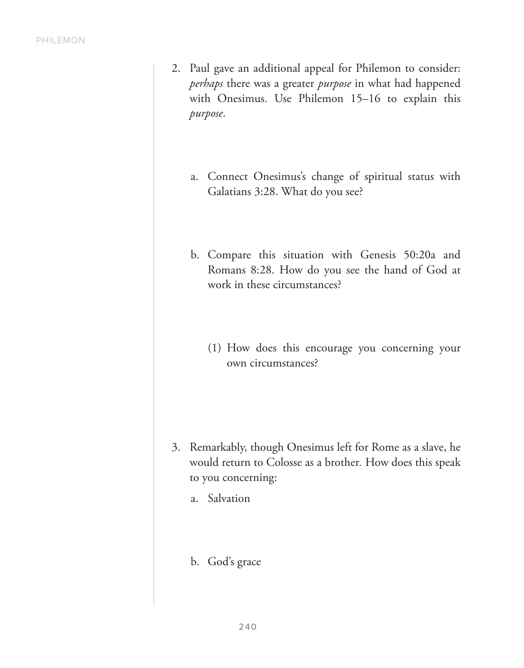- 2. Paul gave an additional appeal for Philemon to consider: *perhaps* there was a greater *purpose* in what had happened with Onesimus. Use Philemon 15–16 to explain this *purpose*.
	- a. Connect Onesimus's change of spiritual status with Galatians 3:28. What do you see?
	- b. Compare this situation with Genesis 50:20a and Romans 8:28. How do you see the hand of God at work in these circumstances?
		- (1) How does this encourage you concerning your own circumstances?

- 3. Remarkably, though Onesimus left for Rome as a slave, he would return to Colosse as a brother*.* How does this speak to you concerning:
	- a. Salvation
	- b. God's grace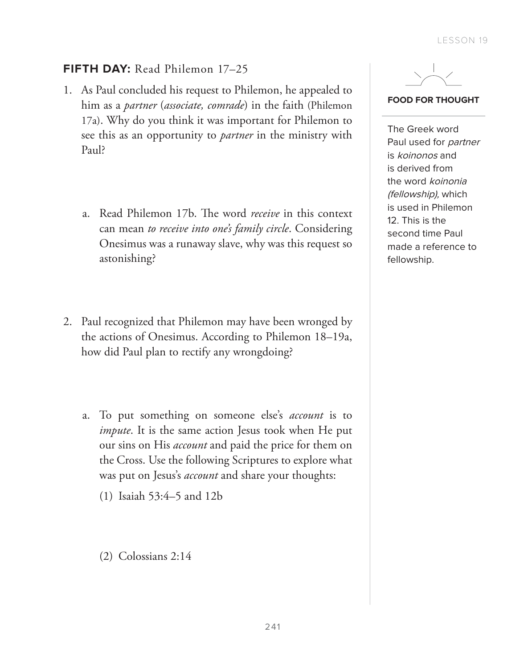# **FIFTH DAY:** Read Philemon 17–25

- 1. As Paul concluded his request to Philemon, he appealed to him as a *partner* (*associate, comrade*) in the faith (Philemon 17a). Why do you think it was important for Philemon to see this as an opportunity to *partner* in the ministry with Paul?
	- a. Read Philemon 17b. The word *receive* in this context can mean *to receive into one's family circle*. Considering Onesimus was a runaway slave, why was this request so astonishing?
- 2. Paul recognized that Philemon may have been wronged by the actions of Onesimus. According to Philemon 18–19a, how did Paul plan to rectify any wrongdoing?
	- a. To put something on someone else's *account* is to *impute*. It is the same action Jesus took when He put our sins on His *account* and paid the price for them on the Cross. Use the following Scriptures to explore what was put on Jesus's *account* and share your thoughts:
		- (1) Isaiah 53:4–5 and 12b
		- (2) Colossians 2:14



#### **FOOD FOR THOUGHT**

The Greek word Paul used for partner is koinonos and is derived from the word koinonia (fellowship), which is used in Philemon 12. This is the second time Paul made a reference to fellowship.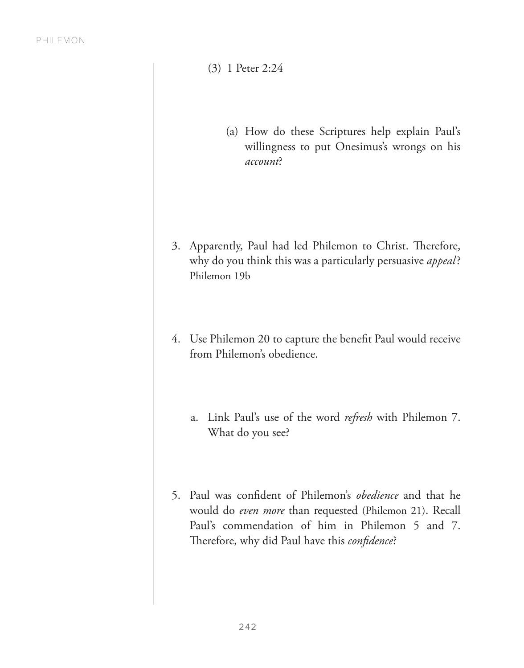- (3) 1 Peter 2:24
	- (a) How do these Scriptures help explain Paul's willingness to put Onesimus's wrongs on his *account*?

- 3. Apparently, Paul had led Philemon to Christ. Therefore, why do you think this was a particularly persuasive *appeal*? Philemon 19b
- 4. Use Philemon 20 to capture the benefit Paul would receive from Philemon's obedience.
	- a. Link Paul's use of the word *refresh* with Philemon 7. What do you see?
- 5. Paul was confident of Philemon's *obedience* and that he would do *even more* than requested (Philemon 21). Recall Paul's commendation of him in Philemon 5 and 7. Therefore, why did Paul have this *confidence*?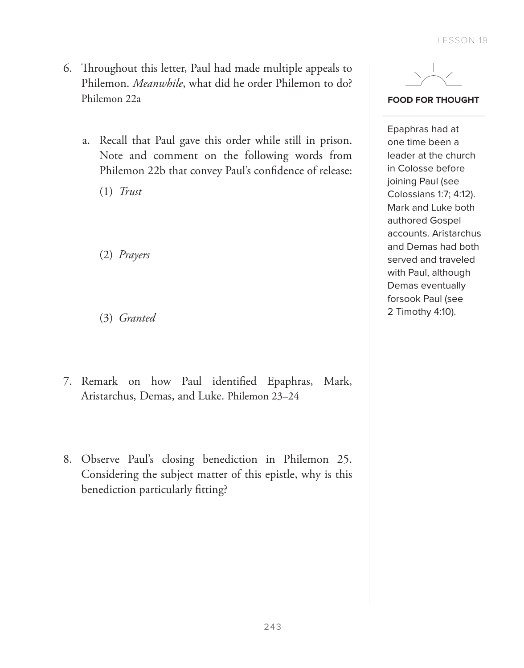- 6. Throughout this letter, Paul had made multiple appeals to Philemon. *Meanwhile*, what did he order Philemon to do? Philemon 22a
	- a. Recall that Paul gave this order while still in prison. Note and comment on the following words from Philemon 22b that convey Paul's confidence of release:

(1) *Trust*

(2) *Prayers*

(3) *Granted*

- 7. Remark on how Paul identified Epaphras, Mark, Aristarchus, Demas, and Luke. Philemon 23–24
- 8. Observe Paul's closing benediction in Philemon 25. Considering the subject matter of this epistle, why is this benediction particularly fitting?



**FOOD FOR THOUGHT**

Epaphras had at one time been a leader at the church in Colosse before joining Paul (see Colossians 1:7; 4:12). Mark and Luke both authored Gospel accounts. Aristarchus and Demas had both served and traveled with Paul, although Demas eventually forsook Paul (see 2 Timothy 4:10).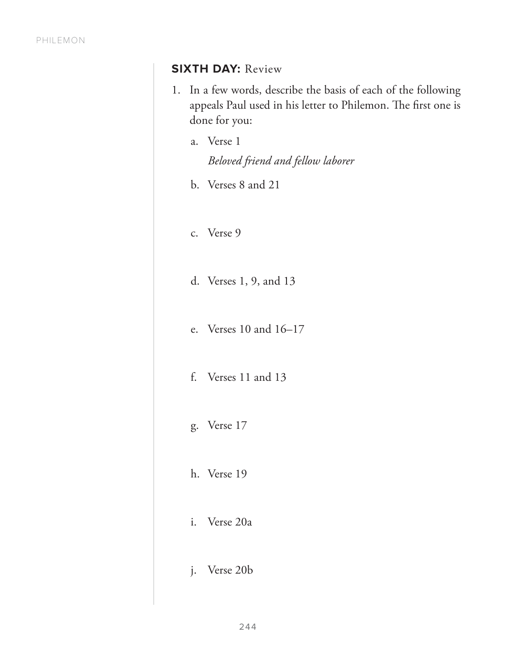# **SIXTH DAY:** Review

- 1. In a few words, describe the basis of each of the following appeals Paul used in his letter to Philemon. The first one is done for you:
	- a. Verse 1 *Beloved friend and fellow laborer*
	- b. Verses 8 and 21
	- c. Verse 9
	- d. Verses 1, 9, and 13
	- e. Verses 10 and 16–17
	- f. Verses 11 and 13
	- g. Verse 17
	- h. Verse 19
	- i. Verse 20a
	- j. Verse 20b